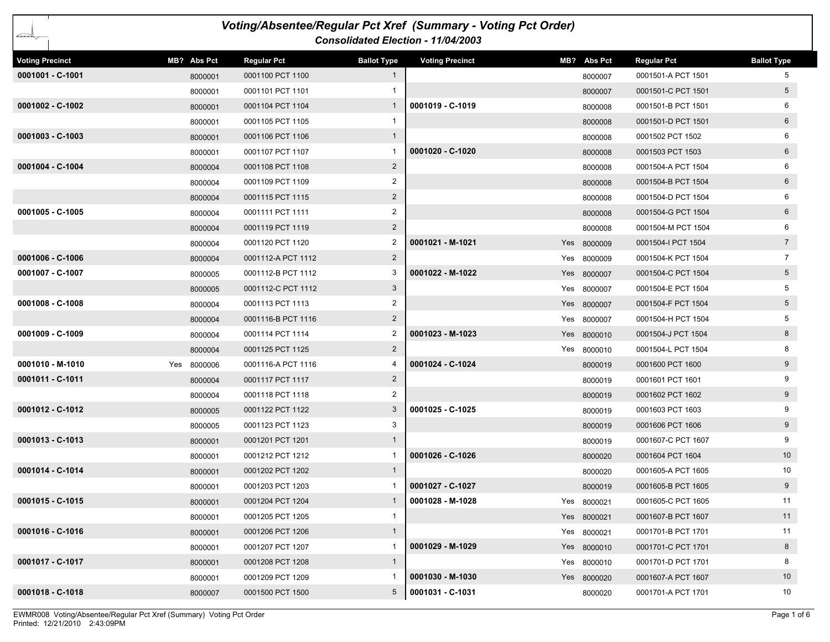| Voting/Absentee/Regular Pct Xref (Summary - Voting Pct Order)<br>أتشتت<br>Consolidated Election - 11/04/2003 |             |                    |                    |                        |  |             |                    |                    |  |
|--------------------------------------------------------------------------------------------------------------|-------------|--------------------|--------------------|------------------------|--|-------------|--------------------|--------------------|--|
| <b>Voting Precinct</b>                                                                                       | MB? Abs Pct | <b>Regular Pct</b> | <b>Ballot Type</b> | <b>Voting Precinct</b> |  | MB? Abs Pct | <b>Regular Pct</b> | <b>Ballot Type</b> |  |
| 0001001 - C-1001                                                                                             | 8000001     | 0001100 PCT 1100   | $\mathbf{1}$       |                        |  | 8000007     | 0001501-A PCT 1501 | 5                  |  |
|                                                                                                              | 8000001     | 0001101 PCT 1101   |                    |                        |  | 8000007     | 0001501-C PCT 1501 | 5 <sub>5</sub>     |  |
| 0001002 - C-1002                                                                                             | 8000001     | 0001104 PCT 1104   | $\mathbf{1}$       | 0001019 - C-1019       |  | 8000008     | 0001501-B PCT 1501 | 6                  |  |
|                                                                                                              | 8000001     | 0001105 PCT 1105   | 1                  |                        |  | 8000008     | 0001501-D PCT 1501 | $6\overline{6}$    |  |
| $0001003 - C-1003$                                                                                           | 8000001     | 0001106 PCT 1106   | $\mathbf{1}$       |                        |  | 8000008     | 0001502 PCT 1502   | 6                  |  |
|                                                                                                              | 8000001     | 0001107 PCT 1107   |                    | 0001020 - C-1020       |  | 8000008     | 0001503 PCT 1503   | $6\overline{6}$    |  |
| 0001004 - C-1004                                                                                             | 8000004     | 0001108 PCT 1108   | $\overline{2}$     |                        |  | 8000008     | 0001504-A PCT 1504 | 6                  |  |
|                                                                                                              | 8000004     | 0001109 PCT 1109   | $\overline{2}$     |                        |  | 8000008     | 0001504-B PCT 1504 | $6\overline{6}$    |  |
|                                                                                                              | 8000004     | 0001115 PCT 1115   | $\overline{2}$     |                        |  | 8000008     | 0001504-D PCT 1504 | 6                  |  |
| 0001005 - C-1005                                                                                             | 8000004     | 0001111 PCT 1111   | 2                  |                        |  | 8000008     | 0001504-G PCT 1504 | $6\overline{6}$    |  |
|                                                                                                              | 8000004     | 0001119 PCT 1119   | $2^{\circ}$        |                        |  | 8000008     | 0001504-M PCT 1504 | 6                  |  |
|                                                                                                              | 8000004     | 0001120 PCT 1120   | 2                  | 0001021 - M-1021       |  | Yes 8000009 | 0001504-I PCT 1504 | $7\overline{ }$    |  |
| 0001006 - C-1006                                                                                             | 8000004     | 0001112-A PCT 1112 | $\overline{2}$     |                        |  | Yes 8000009 | 0001504-K PCT 1504 | $7\overline{ }$    |  |
| 0001007 - C-1007                                                                                             | 8000005     | 0001112-B PCT 1112 | 3                  | 0001022 - M-1022       |  | Yes 8000007 | 0001504-C PCT 1504 | 5 <sub>5</sub>     |  |
|                                                                                                              | 8000005     | 0001112-C PCT 1112 | 3                  |                        |  | Yes 8000007 | 0001504-E PCT 1504 | 5                  |  |
| $0001008 - C-1008$                                                                                           | 8000004     | 0001113 PCT 1113   | $\overline{2}$     |                        |  | Yes 8000007 | 0001504-F PCT 1504 | 5 <sup>5</sup>     |  |
|                                                                                                              | 8000004     | 0001116-B PCT 1116 | $\overline{2}$     |                        |  | Yes 8000007 | 0001504-H PCT 1504 | 5                  |  |
| 0001009 - C-1009                                                                                             | 8000004     | 0001114 PCT 1114   | 2                  | 0001023 - M-1023       |  | Yes 8000010 | 0001504-J PCT 1504 | 8                  |  |
|                                                                                                              | 8000004     | 0001125 PCT 1125   | $\overline{2}$     |                        |  | Yes 8000010 | 0001504-L PCT 1504 | 8                  |  |
| 0001010 - M-1010                                                                                             | Yes 8000006 | 0001116-A PCT 1116 |                    | 0001024 - C-1024       |  | 8000019     | 0001600 PCT 1600   | 9                  |  |
| 0001011 - C-1011                                                                                             | 8000004     | 0001117 PCT 1117   | $\overline{2}$     |                        |  | 8000019     | 0001601 PCT 1601   | 9                  |  |
|                                                                                                              | 8000004     | 0001118 PCT 1118   | 2                  |                        |  | 8000019     | 0001602 PCT 1602   | 9                  |  |
| 0001012 - C-1012                                                                                             | 8000005     | 0001122 PCT 1122   | 3                  | 0001025 - C-1025       |  | 8000019     | 0001603 PCT 1603   | 9                  |  |
|                                                                                                              | 8000005     | 0001123 PCT 1123   | 3                  |                        |  | 8000019     | 0001606 PCT 1606   | 9                  |  |
| 0001013 - C-1013                                                                                             | 8000001     | 0001201 PCT 1201   | $\mathbf{1}$       |                        |  | 8000019     | 0001607-C PCT 1607 | 9                  |  |
|                                                                                                              | 8000001     | 0001212 PCT 1212   |                    | 0001026 - C-1026       |  | 8000020     | 0001604 PCT 1604   | 10 <sup>°</sup>    |  |
| 0001014 - C-1014                                                                                             | 8000001     | 0001202 PCT 1202   | $\mathbf{1}$       |                        |  | 8000020     | 0001605-A PCT 1605 | 10                 |  |
|                                                                                                              | 8000001     | 0001203 PCT 1203   | 1                  | 0001027 - C-1027       |  | 8000019     | 0001605-B PCT 1605 | 9                  |  |
| 0001015 - C-1015                                                                                             | 8000001     | 0001204 PCT 1204   | 1                  | 0001028 - M-1028       |  | Yes 8000021 | 0001605-C PCT 1605 | 11                 |  |
|                                                                                                              | 8000001     | 0001205 PCT 1205   | $\mathbf{1}$       |                        |  | Yes 8000021 | 0001607-B PCT 1607 | 11                 |  |
| 0001016 - C-1016                                                                                             | 8000001     | 0001206 PCT 1206   | $\mathbf{1}$       |                        |  | Yes 8000021 | 0001701-B PCT 1701 | 11                 |  |
|                                                                                                              | 8000001     | 0001207 PCT 1207   | 1                  | 0001029 - M-1029       |  | Yes 8000010 | 0001701-C PCT 1701 | 8                  |  |
| 0001017 - C-1017                                                                                             | 8000001     | 0001208 PCT 1208   | $\mathbf{1}$       |                        |  | Yes 8000010 | 0001701-D PCT 1701 | 8                  |  |
|                                                                                                              | 8000001     | 0001209 PCT 1209   | 1                  | 0001030 - M-1030       |  | Yes 8000020 | 0001607-A PCT 1607 | 10                 |  |
| 0001018 - C-1018                                                                                             | 8000007     | 0001500 PCT 1500   | 5                  | 0001031 - C-1031       |  | 8000020     | 0001701-A PCT 1701 | 10                 |  |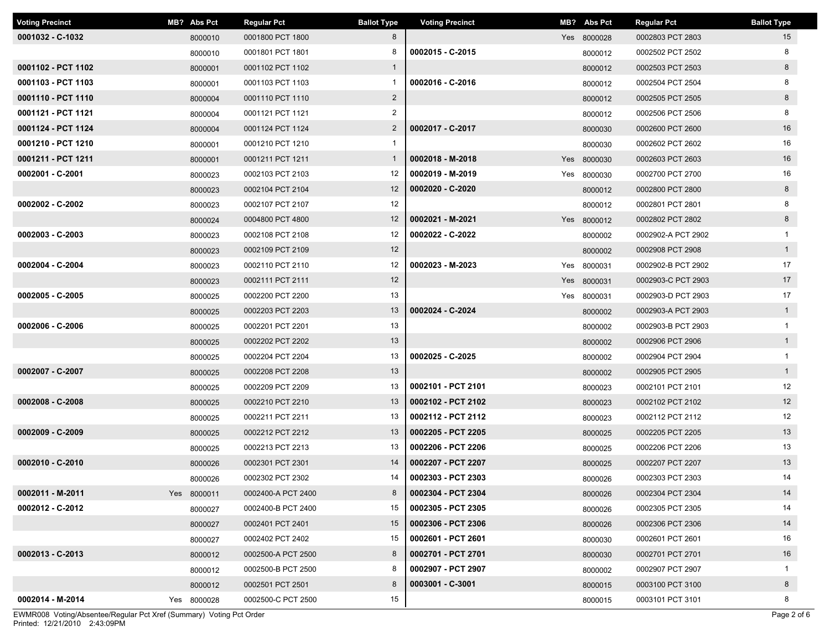| <b>Voting Precinct</b> | MB? Abs Pct | <b>Regular Pct</b> | <b>Ballot Type</b> | <b>Voting Precinct</b> | MB? Abs Pct | <b>Regular Pct</b> | <b>Ballot Type</b> |
|------------------------|-------------|--------------------|--------------------|------------------------|-------------|--------------------|--------------------|
| 0001032 - C-1032       | 8000010     | 0001800 PCT 1800   | 8                  |                        | Yes 8000028 | 0002803 PCT 2803   | 15                 |
|                        | 8000010     | 0001801 PCT 1801   | 8                  | 0002015 - C-2015       | 8000012     | 0002502 PCT 2502   | 8                  |
| 0001102 - PCT 1102     | 8000001     | 0001102 PCT 1102   | $\mathbf{1}$       |                        | 8000012     | 0002503 PCT 2503   | 8                  |
| 0001103 - PCT 1103     | 8000001     | 0001103 PCT 1103   | $\mathbf{1}$       | 0002016 - C-2016       | 8000012     | 0002504 PCT 2504   | 8                  |
| 0001110 - PCT 1110     | 8000004     | 0001110 PCT 1110   | $\overline{2}$     |                        | 8000012     | 0002505 PCT 2505   | 8                  |
| 0001121 - PCT 1121     | 8000004     | 0001121 PCT 1121   | $\overline{2}$     |                        | 8000012     | 0002506 PCT 2506   | 8                  |
| 0001124 - PCT 1124     | 8000004     | 0001124 PCT 1124   | $\overline{2}$     | 0002017 - C-2017       | 8000030     | 0002600 PCT 2600   | 16                 |
| 0001210 - PCT 1210     | 8000001     | 0001210 PCT 1210   | $\mathbf{1}$       |                        | 8000030     | 0002602 PCT 2602   | 16                 |
| 0001211 - PCT 1211     | 8000001     | 0001211 PCT 1211   | $\mathbf{1}$       | 0002018 - M-2018       | Yes 8000030 | 0002603 PCT 2603   | 16                 |
| 0002001 - C-2001       | 8000023     | 0002103 PCT 2103   | 12                 | 0002019 - M-2019       | Yes 8000030 | 0002700 PCT 2700   | 16                 |
|                        | 8000023     | 0002104 PCT 2104   | $12 \overline{ }$  | 0002020 - C-2020       | 8000012     | 0002800 PCT 2800   | 8                  |
| 0002002 - C-2002       | 8000023     | 0002107 PCT 2107   | 12                 |                        | 8000012     | 0002801 PCT 2801   | 8                  |
|                        | 8000024     | 0004800 PCT 4800   | 12                 | 0002021 - M-2021       | Yes 8000012 | 0002802 PCT 2802   | 8                  |
| $0002003 - C-2003$     | 8000023     | 0002108 PCT 2108   | 12                 | 0002022 - C-2022       | 8000002     | 0002902-A PCT 2902 | $\mathbf{1}$       |
|                        | 8000023     | 0002109 PCT 2109   | 12                 |                        | 8000002     | 0002908 PCT 2908   | $\overline{1}$     |
| 0002004 - C-2004       | 8000023     | 0002110 PCT 2110   | 12                 | 0002023 - M-2023       | Yes 8000031 | 0002902-B PCT 2902 | 17                 |
|                        | 8000023     | 0002111 PCT 2111   | 12                 |                        | Yes 8000031 | 0002903-C PCT 2903 | 17                 |
| 0002005 - C-2005       | 8000025     | 0002200 PCT 2200   | 13                 |                        | Yes 8000031 | 0002903-D PCT 2903 | 17                 |
|                        | 8000025     | 0002203 PCT 2203   | 13                 | 0002024 - C-2024       | 8000002     | 0002903-A PCT 2903 | $\mathbf{1}$       |
| 0002006 - C-2006       | 8000025     | 0002201 PCT 2201   | 13                 |                        | 8000002     | 0002903-B PCT 2903 | $\mathbf{1}$       |
|                        | 8000025     | 0002202 PCT 2202   | 13                 |                        | 8000002     | 0002906 PCT 2906   | $\overline{1}$     |
|                        | 8000025     | 0002204 PCT 2204   | 13                 | 0002025 - C-2025       | 8000002     | 0002904 PCT 2904   | $\mathbf{1}$       |
| 0002007 - C-2007       | 8000025     | 0002208 PCT 2208   | 13                 |                        | 8000002     | 0002905 PCT 2905   | 1                  |
|                        | 8000025     | 0002209 PCT 2209   | 13                 | 0002101 - PCT 2101     | 8000023     | 0002101 PCT 2101   | 12                 |
| 0002008 - C-2008       | 8000025     | 0002210 PCT 2210   | 13                 | 0002102 - PCT 2102     | 8000023     | 0002102 PCT 2102   | 12                 |
|                        | 8000025     | 0002211 PCT 2211   | 13                 | 0002112 - PCT 2112     | 8000023     | 0002112 PCT 2112   | 12                 |
| 0002009 - C-2009       | 8000025     | 0002212 PCT 2212   | 13                 | 0002205 - PCT 2205     | 8000025     | 0002205 PCT 2205   | 13                 |
|                        | 8000025     | 0002213 PCT 2213   | 13                 | 0002206 - PCT 2206     | 8000025     | 0002206 PCT 2206   | 13                 |
| 0002010 - C-2010       | 8000026     | 0002301 PCT 2301   | 14                 | 0002207 - PCT 2207     | 8000025     | 0002207 PCT 2207   | 13                 |
|                        | 8000026     | 0002302 PCT 2302   | 14                 | 0002303 - PCT 2303     | 8000026     | 0002303 PCT 2303   | 14                 |
| 0002011 - M-2011       | Yes 8000011 | 0002400-A PCT 2400 | 8                  | 0002304 - PCT 2304     | 8000026     | 0002304 PCT 2304   | 14                 |
| 0002012 - C-2012       | 8000027     | 0002400-B PCT 2400 | 15                 | 0002305 - PCT 2305     | 8000026     | 0002305 PCT 2305   | 14                 |
|                        | 8000027     | 0002401 PCT 2401   | 15                 | 0002306 - PCT 2306     | 8000026     | 0002306 PCT 2306   | 14                 |
|                        | 8000027     | 0002402 PCT 2402   | 15                 | 0002601 - PCT 2601     | 8000030     | 0002601 PCT 2601   | 16                 |
| 0002013 - C-2013       | 8000012     | 0002500-A PCT 2500 | 8                  | 0002701 - PCT 2701     | 8000030     | 0002701 PCT 2701   | 16                 |
|                        | 8000012     | 0002500-B PCT 2500 | 8                  | 0002907 - PCT 2907     | 8000002     | 0002907 PCT 2907   | $\mathbf 1$        |
|                        | 8000012     | 0002501 PCT 2501   | 8                  | 0003001 - C-3001       | 8000015     | 0003100 PCT 3100   | 8                  |
| 0002014 - M-2014       | Yes 8000028 | 0002500-C PCT 2500 | 15                 |                        | 8000015     | 0003101 PCT 3101   | 8                  |

Printed: 12/21/2010 2:43:09PM EWMR008 Voting/Absentee/Regular Pct Xref (Summary) Voting Pct Order Page 2 of 6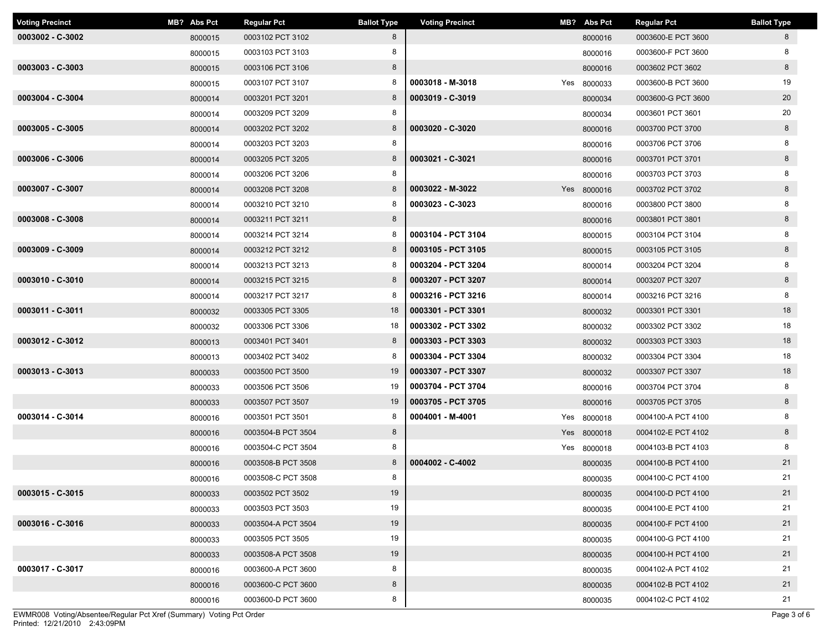| <b>Voting Precinct</b> | MB? Abs Pct | <b>Regular Pct</b> | <b>Ballot Type</b> | <b>Voting Precinct</b> | MB? Abs Pct | <b>Regular Pct</b> | <b>Ballot Type</b> |
|------------------------|-------------|--------------------|--------------------|------------------------|-------------|--------------------|--------------------|
| $0003002 - C-3002$     | 8000015     | 0003102 PCT 3102   | 8                  |                        | 8000016     | 0003600-E PCT 3600 | 8                  |
|                        | 8000015     | 0003103 PCT 3103   | 8                  |                        | 8000016     | 0003600-F PCT 3600 | 8                  |
| 0003003 - C-3003       | 8000015     | 0003106 PCT 3106   | 8                  |                        | 8000016     | 0003602 PCT 3602   | 8                  |
|                        | 8000015     | 0003107 PCT 3107   | 8                  | 0003018 - M-3018       | Yes 8000033 | 0003600-B PCT 3600 | 19                 |
| 0003004 - C-3004       | 8000014     | 0003201 PCT 3201   | 8                  | 0003019 - C-3019       | 8000034     | 0003600-G PCT 3600 | 20                 |
|                        | 8000014     | 0003209 PCT 3209   | 8                  |                        | 8000034     | 0003601 PCT 3601   | 20                 |
| 0003005 - C-3005       | 8000014     | 0003202 PCT 3202   | 8                  | 0003020 - C-3020       | 8000016     | 0003700 PCT 3700   | 8                  |
|                        | 8000014     | 0003203 PCT 3203   | 8                  |                        | 8000016     | 0003706 PCT 3706   | 8                  |
| 0003006 - C-3006       | 8000014     | 0003205 PCT 3205   | 8                  | 0003021 - C-3021       | 8000016     | 0003701 PCT 3701   | 8                  |
|                        | 8000014     | 0003206 PCT 3206   | 8                  |                        | 8000016     | 0003703 PCT 3703   | 8                  |
| 0003007 - C-3007       | 8000014     | 0003208 PCT 3208   | 8                  | 0003022 - M-3022       | Yes 8000016 | 0003702 PCT 3702   | 8                  |
|                        | 8000014     | 0003210 PCT 3210   | 8                  | 0003023 - C-3023       | 8000016     | 0003800 PCT 3800   | 8                  |
| 0003008 - C-3008       | 8000014     | 0003211 PCT 3211   | 8                  |                        | 8000016     | 0003801 PCT 3801   | 8                  |
|                        | 8000014     | 0003214 PCT 3214   | 8                  | 0003104 - PCT 3104     | 8000015     | 0003104 PCT 3104   | 8                  |
| 0003009 - C-3009       | 8000014     | 0003212 PCT 3212   | 8                  | 0003105 - PCT 3105     | 8000015     | 0003105 PCT 3105   | 8                  |
|                        | 8000014     | 0003213 PCT 3213   | 8                  | 0003204 - PCT 3204     | 8000014     | 0003204 PCT 3204   | 8                  |
| 0003010 - C-3010       | 8000014     | 0003215 PCT 3215   | 8                  | 0003207 - PCT 3207     | 8000014     | 0003207 PCT 3207   | 8                  |
|                        | 8000014     | 0003217 PCT 3217   | 8                  | 0003216 - PCT 3216     | 8000014     | 0003216 PCT 3216   | 8                  |
| 0003011 - C-3011       | 8000032     | 0003305 PCT 3305   | 18                 | 0003301 - PCT 3301     | 8000032     | 0003301 PCT 3301   | 18                 |
|                        | 8000032     | 0003306 PCT 3306   | 18                 | 0003302 - PCT 3302     | 8000032     | 0003302 PCT 3302   | 18                 |
| 0003012 - C-3012       | 8000013     | 0003401 PCT 3401   | 8                  | 0003303 - PCT 3303     | 8000032     | 0003303 PCT 3303   | 18                 |
|                        | 8000013     | 0003402 PCT 3402   | 8                  | 0003304 - PCT 3304     | 8000032     | 0003304 PCT 3304   | 18                 |
| 0003013 - C-3013       | 8000033     | 0003500 PCT 3500   | 19                 | 0003307 - PCT 3307     | 8000032     | 0003307 PCT 3307   | 18                 |
|                        | 8000033     | 0003506 PCT 3506   | 19                 | 0003704 - PCT 3704     | 8000016     | 0003704 PCT 3704   | 8                  |
|                        | 8000033     | 0003507 PCT 3507   | 19                 | 0003705 - PCT 3705     | 8000016     | 0003705 PCT 3705   | 8                  |
| 0003014 - C-3014       | 8000016     | 0003501 PCT 3501   | 8                  | 0004001 - M-4001       | Yes 8000018 | 0004100-A PCT 4100 | 8                  |
|                        | 8000016     | 0003504-B PCT 3504 | 8                  |                        | Yes 8000018 | 0004102-E PCT 4102 | 8                  |
|                        | 8000016     | 0003504-C PCT 3504 | 8                  |                        | Yes 8000018 | 0004103-B PCT 4103 | 8                  |
|                        | 8000016     | 0003508-B PCT 3508 | 8                  | 0004002 - C-4002       | 8000035     | 0004100-B PCT 4100 | 21                 |
|                        | 8000016     | 0003508-C PCT 3508 | 8                  |                        | 8000035     | 0004100-C PCT 4100 | 21                 |
| $0003015 - C-3015$     | 8000033     | 0003502 PCT 3502   | 19                 |                        | 8000035     | 0004100-D PCT 4100 | 21                 |
|                        | 8000033     | 0003503 PCT 3503   | 19                 |                        | 8000035     | 0004100-E PCT 4100 | 21                 |
| 0003016 - C-3016       | 8000033     | 0003504-A PCT 3504 | 19                 |                        | 8000035     | 0004100-F PCT 4100 | 21                 |
|                        | 8000033     | 0003505 PCT 3505   | 19                 |                        | 8000035     | 0004100-G PCT 4100 | 21                 |
|                        | 8000033     | 0003508-A PCT 3508 | 19                 |                        | 8000035     | 0004100-H PCT 4100 | 21                 |
| 0003017 - C-3017       | 8000016     | 0003600-A PCT 3600 | 8                  |                        | 8000035     | 0004102-A PCT 4102 | 21                 |
|                        | 8000016     | 0003600-C PCT 3600 | 8                  |                        | 8000035     | 0004102-B PCT 4102 | 21                 |
|                        | 8000016     | 0003600-D PCT 3600 | 8                  |                        | 8000035     | 0004102-C PCT 4102 | 21                 |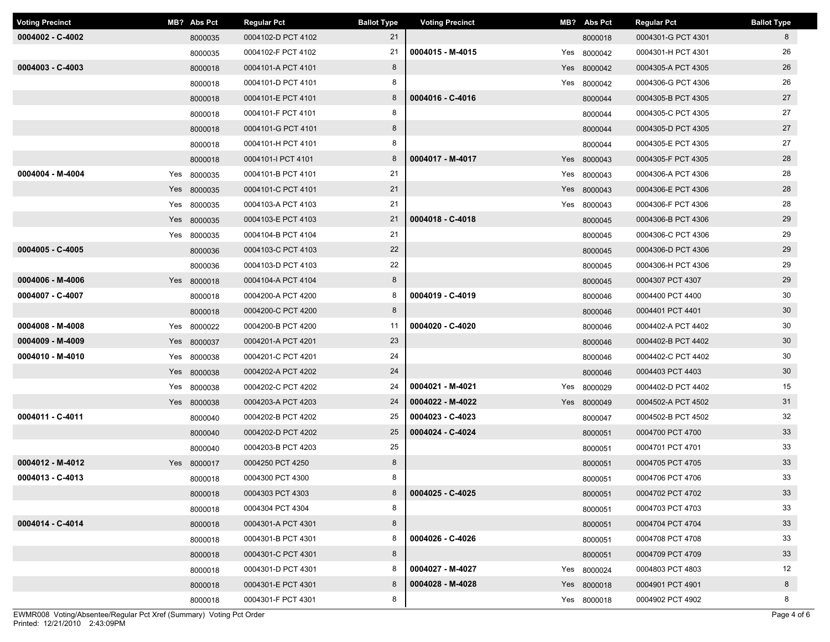| <b>Voting Precinct</b> | MB? Abs Pct | <b>Regular Pct</b> | <b>Ballot Type</b> | <b>Voting Precinct</b> | MB? Abs Pct | <b>Regular Pct</b> | <b>Ballot Type</b> |
|------------------------|-------------|--------------------|--------------------|------------------------|-------------|--------------------|--------------------|
| $0004002 - C-4002$     | 8000035     | 0004102-D PCT 4102 | 21                 |                        | 8000018     | 0004301-G PCT 4301 | 8                  |
|                        | 8000035     | 0004102-F PCT 4102 | 21                 | 0004015 - M-4015       | Yes 8000042 | 0004301-H PCT 4301 | 26                 |
| $0004003 - C - 4003$   | 8000018     | 0004101-A PCT 4101 | 8                  |                        | Yes 8000042 | 0004305-A PCT 4305 | 26                 |
|                        | 8000018     | 0004101-D PCT 4101 | 8                  |                        | Yes 8000042 | 0004306-G PCT 4306 | 26                 |
|                        | 8000018     | 0004101-E PCT 4101 | 8                  | 0004016 - C-4016       | 8000044     | 0004305-B PCT 4305 | 27                 |
|                        | 8000018     | 0004101-F PCT 4101 | 8                  |                        | 8000044     | 0004305-C PCT 4305 | 27                 |
|                        | 8000018     | 0004101-G PCT 4101 | 8                  |                        | 8000044     | 0004305-D PCT 4305 | 27                 |
|                        | 8000018     | 0004101-H PCT 4101 | 8                  |                        | 8000044     | 0004305-E PCT 4305 | 27                 |
|                        | 8000018     | 0004101-I PCT 4101 | 8                  | 0004017 - M-4017       | Yes 8000043 | 0004305-F PCT 4305 | 28                 |
| 0004004 - M-4004       | Yes 8000035 | 0004101-B PCT 4101 | 21                 |                        | Yes 8000043 | 0004306-A PCT 4306 | 28                 |
|                        | Yes 8000035 | 0004101-C PCT 4101 | 21                 |                        | Yes 8000043 | 0004306-E PCT 4306 | 28                 |
|                        | Yes 8000035 | 0004103-A PCT 4103 | 21                 |                        | Yes 8000043 | 0004306-F PCT 4306 | 28                 |
|                        | Yes 8000035 | 0004103-E PCT 4103 | 21                 | 0004018 - C-4018       | 8000045     | 0004306-B PCT 4306 | 29                 |
|                        | Yes 8000035 | 0004104-B PCT 4104 | 21                 |                        | 8000045     | 0004306-C PCT 4306 | 29                 |
| 0004005 - C-4005       | 8000036     | 0004103-C PCT 4103 | 22                 |                        | 8000045     | 0004306-D PCT 4306 | 29                 |
|                        | 8000036     | 0004103-D PCT 4103 | 22                 |                        | 8000045     | 0004306-H PCT 4306 | 29                 |
| 0004006 - M-4006       | Yes 8000018 | 0004104-A PCT 4104 | 8                  |                        | 8000045     | 0004307 PCT 4307   | 29                 |
| 0004007 - C-4007       | 8000018     | 0004200-A PCT 4200 | 8                  | 0004019 - C-4019       | 8000046     | 0004400 PCT 4400   | 30                 |
|                        | 8000018     | 0004200-C PCT 4200 | 8                  |                        | 8000046     | 0004401 PCT 4401   | 30                 |
| 0004008 - M-4008       | Yes 8000022 | 0004200-B PCT 4200 | 11                 | 0004020 - C-4020       | 8000046     | 0004402-A PCT 4402 | 30                 |
| 0004009 - M-4009       | Yes 8000037 | 0004201-A PCT 4201 | 23                 |                        | 8000046     | 0004402-B PCT 4402 | 30                 |
| 0004010 - M-4010       | Yes 8000038 | 0004201-C PCT 4201 | 24                 |                        | 8000046     | 0004402-C PCT 4402 | 30                 |
|                        | Yes 8000038 | 0004202-A PCT 4202 | 24                 |                        | 8000046     | 0004403 PCT 4403   | 30                 |
|                        | Yes 8000038 | 0004202-C PCT 4202 | 24                 | 0004021 - M-4021       | Yes 8000029 | 0004402-D PCT 4402 | 15                 |
|                        | Yes 8000038 | 0004203-A PCT 4203 | 24                 | 0004022 - M-4022       | Yes 8000049 | 0004502-A PCT 4502 | 31                 |
| 0004011 - C-4011       | 8000040     | 0004202-B PCT 4202 | 25                 | 0004023 - C-4023       | 8000047     | 0004502-B PCT 4502 | 32                 |
|                        | 8000040     | 0004202-D PCT 4202 | 25                 | 0004024 - C-4024       | 8000051     | 0004700 PCT 4700   | 33                 |
|                        | 8000040     | 0004203-B PCT 4203 | 25                 |                        | 8000051     | 0004701 PCT 4701   | 33                 |
| 0004012 - M-4012       | Yes 8000017 | 0004250 PCT 4250   | 8                  |                        | 8000051     | 0004705 PCT 4705   | 33                 |
| 0004013 - C-4013       | 8000018     | 0004300 PCT 4300   | 8                  |                        | 8000051     | 0004706 PCT 4706   | 33                 |
|                        | 8000018     | 0004303 PCT 4303   | 8                  | 0004025 - C-4025       | 8000051     | 0004702 PCT 4702   | 33                 |
|                        | 8000018     | 0004304 PCT 4304   | 8                  |                        | 8000051     | 0004703 PCT 4703   | 33                 |
| 0004014 - C-4014       | 8000018     | 0004301-A PCT 4301 | 8                  |                        | 8000051     | 0004704 PCT 4704   | 33                 |
|                        | 8000018     | 0004301-B PCT 4301 | 8                  | 0004026 - C-4026       | 8000051     | 0004708 PCT 4708   | 33                 |
|                        | 8000018     | 0004301-C PCT 4301 | 8                  |                        | 8000051     | 0004709 PCT 4709   | 33                 |
|                        | 8000018     | 0004301-D PCT 4301 | 8                  | 0004027 - M-4027       | Yes 8000024 | 0004803 PCT 4803   | 12                 |
|                        | 8000018     | 0004301-E PCT 4301 | 8                  | 0004028 - M-4028       | Yes 8000018 | 0004901 PCT 4901   | 8                  |
|                        | 8000018     | 0004301-F PCT 4301 | 8                  |                        | Yes 8000018 | 0004902 PCT 4902   | 8                  |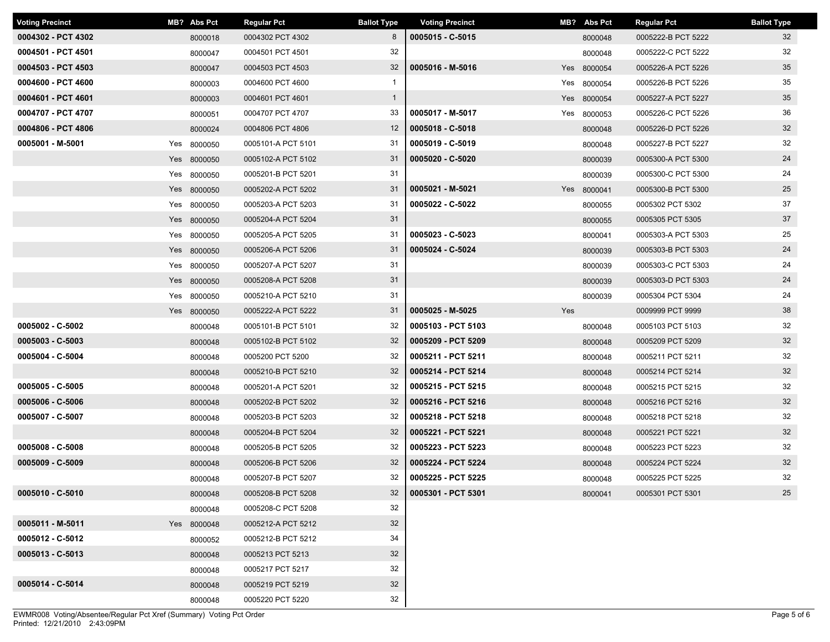| <b>Voting Precinct</b> |     | MB? Abs Pct | <b>Regular Pct</b> | <b>Ballot Type</b> | <b>Voting Precinct</b> |     | MB? Abs Pct | <b>Regular Pct</b> | <b>Ballot Type</b> |
|------------------------|-----|-------------|--------------------|--------------------|------------------------|-----|-------------|--------------------|--------------------|
| 0004302 - PCT 4302     |     | 8000018     | 0004302 PCT 4302   | 8                  | 0005015 - C-5015       |     | 8000048     | 0005222-B PCT 5222 | 32                 |
| 0004501 - PCT 4501     |     | 8000047     | 0004501 PCT 4501   | 32                 |                        |     | 8000048     | 0005222-C PCT 5222 | 32                 |
| 0004503 - PCT 4503     |     | 8000047     | 0004503 PCT 4503   | 32                 | 0005016 - M-5016       |     | Yes 8000054 | 0005226-A PCT 5226 | 35                 |
| 0004600 - PCT 4600     |     | 8000003     | 0004600 PCT 4600   | $\mathbf{1}$       |                        |     | Yes 8000054 | 0005226-B PCT 5226 | 35                 |
| 0004601 - PCT 4601     |     | 8000003     | 0004601 PCT 4601   | $\mathbf{1}$       |                        |     | Yes 8000054 | 0005227-A PCT 5227 | 35                 |
| 0004707 - PCT 4707     |     | 8000051     | 0004707 PCT 4707   | 33                 | 0005017 - M-5017       |     | Yes 8000053 | 0005226-C PCT 5226 | 36                 |
| 0004806 - PCT 4806     |     | 8000024     | 0004806 PCT 4806   | 12                 | 0005018 - C-5018       |     | 8000048     | 0005226-D PCT 5226 | 32                 |
| 0005001 - M-5001       |     | Yes 8000050 | 0005101-A PCT 5101 | 31                 | 0005019 - C-5019       |     | 8000048     | 0005227-B PCT 5227 | 32                 |
|                        |     | Yes 8000050 | 0005102-A PCT 5102 | 31                 | 0005020 - C-5020       |     | 8000039     | 0005300-A PCT 5300 | 24                 |
|                        |     | Yes 8000050 | 0005201-B PCT 5201 | 31                 |                        |     | 8000039     | 0005300-C PCT 5300 | 24                 |
|                        |     | Yes 8000050 | 0005202-A PCT 5202 | 31                 | 0005021 - M-5021       |     | Yes 8000041 | 0005300-B PCT 5300 | 25                 |
|                        |     | Yes 8000050 | 0005203-A PCT 5203 | 31                 | 0005022 - C-5022       |     | 8000055     | 0005302 PCT 5302   | 37                 |
|                        |     | Yes 8000050 | 0005204-A PCT 5204 | 31                 |                        |     | 8000055     | 0005305 PCT 5305   | 37                 |
|                        |     | Yes 8000050 | 0005205-A PCT 5205 | 31                 | 0005023 - C-5023       |     | 8000041     | 0005303-A PCT 5303 | 25                 |
|                        |     | Yes 8000050 | 0005206-A PCT 5206 | 31                 | 0005024 - C-5024       |     | 8000039     | 0005303-B PCT 5303 | 24                 |
|                        |     | Yes 8000050 | 0005207-A PCT 5207 | 31                 |                        |     | 8000039     | 0005303-C PCT 5303 | 24                 |
|                        |     | Yes 8000050 | 0005208-A PCT 5208 | 31                 |                        |     | 8000039     | 0005303-D PCT 5303 | 24                 |
|                        | Yes | 8000050     | 0005210-A PCT 5210 | 31                 |                        |     | 8000039     | 0005304 PCT 5304   | 24                 |
|                        |     | Yes 8000050 | 0005222-A PCT 5222 | 31                 | 0005025 - M-5025       | Yes |             | 0009999 PCT 9999   | 38                 |
| 0005002 - C-5002       |     | 8000048     | 0005101-B PCT 5101 | 32                 | 0005103 - PCT 5103     |     | 8000048     | 0005103 PCT 5103   | 32                 |
| 0005003 - C-5003       |     | 8000048     | 0005102-B PCT 5102 | 32                 | 0005209 - PCT 5209     |     | 8000048     | 0005209 PCT 5209   | 32                 |
| 0005004 - C-5004       |     | 8000048     | 0005200 PCT 5200   | 32                 | 0005211 - PCT 5211     |     | 8000048     | 0005211 PCT 5211   | 32                 |
|                        |     | 8000048     | 0005210-B PCT 5210 | 32                 | 0005214 - PCT 5214     |     | 8000048     | 0005214 PCT 5214   | 32                 |
| 0005005 - C-5005       |     | 8000048     | 0005201-A PCT 5201 | 32                 | 0005215 - PCT 5215     |     | 8000048     | 0005215 PCT 5215   | 32                 |
| 0005006 - C-5006       |     | 8000048     | 0005202-B PCT 5202 | 32                 | 0005216 - PCT 5216     |     | 8000048     | 0005216 PCT 5216   | 32                 |
| 0005007 - C-5007       |     | 8000048     | 0005203-B PCT 5203 | 32                 | 0005218 - PCT 5218     |     | 8000048     | 0005218 PCT 5218   | 32                 |
|                        |     | 8000048     | 0005204-B PCT 5204 | 32                 | 0005221 - PCT 5221     |     | 8000048     | 0005221 PCT 5221   | 32                 |
| $0005008 - C - 5008$   |     | 8000048     | 0005205-B PCT 5205 | 32                 | 0005223 - PCT 5223     |     | 8000048     | 0005223 PCT 5223   | 32                 |
| 0005009 - C-5009       |     | 8000048     | 0005206-B PCT 5206 | 32                 | 0005224 - PCT 5224     |     | 8000048     | 0005224 PCT 5224   | 32                 |
|                        |     | 8000048     | 0005207-B PCT 5207 | 32                 | 0005225 - PCT 5225     |     | 8000048     | 0005225 PCT 5225   | 32                 |
| $0005010 - C - 5010$   |     | 8000048     | 0005208-B PCT 5208 | 32                 | 0005301 - PCT 5301     |     | 8000041     | 0005301 PCT 5301   | 25                 |
|                        |     | 8000048     | 0005208-C PCT 5208 | 32                 |                        |     |             |                    |                    |
| $0005011 - M-5011$     |     | Yes 8000048 | 0005212-A PCT 5212 | 32                 |                        |     |             |                    |                    |
| 0005012 - C-5012       |     | 8000052     | 0005212-B PCT 5212 | 34                 |                        |     |             |                    |                    |
| $0005013 - C-5013$     |     | 8000048     | 0005213 PCT 5213   | 32                 |                        |     |             |                    |                    |
|                        |     | 8000048     | 0005217 PCT 5217   | 32                 |                        |     |             |                    |                    |
| 0005014 - C-5014       |     | 8000048     | 0005219 PCT 5219   | 32                 |                        |     |             |                    |                    |
|                        |     | 8000048     | 0005220 PCT 5220   | 32                 |                        |     |             |                    |                    |